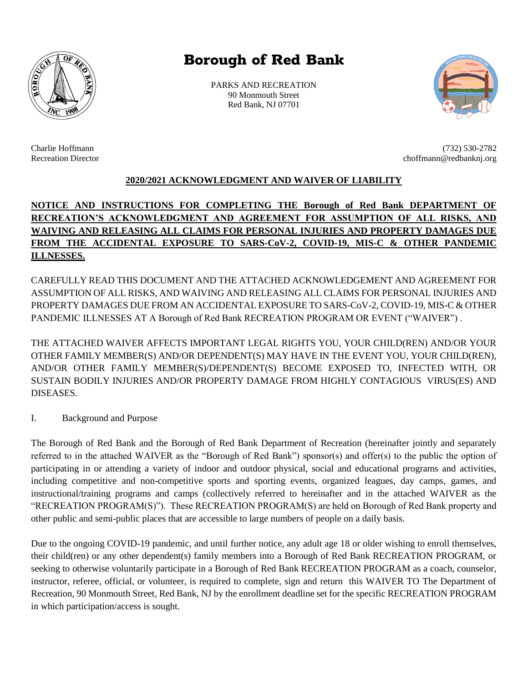

## **Borough of Red Bank**

PARKS AND RECREATION 90 Monmouth Street Red Bank, NJ 07701



Charlie Hoffmann (732) 530-2782

## **2020/2021 ACKNOWLEDGMENT AND WAIVER OF LIABILITY**

## **NOTICE AND INSTRUCTIONS FOR COMPLETING THE Borough of Red Bank DEPARTMENT OF RECREATION'S ACKNOWLEDGMENT AND AGREEMENT FOR ASSUMPTION OF ALL RISKS, AND WAIVING AND RELEASING ALL CLAIMS FOR PERSONAL INJURIES AND PROPERTY DAMAGES DUE FROM THE ACCIDENTAL EXPOSURE TO SARS-CoV-2, COVID-19, MIS-C & OTHER PANDEMIC ILLNESSES.**

CAREFULLY READ THIS DOCUMENT AND THE ATTACHED ACKNOWLEDGEMENT AND AGREEMENT FOR ASSUMPTION OF ALL RISKS, AND WAIVING AND RELEASING ALL CLAIMS FOR PERSONAL INJURIES AND PROPERTY DAMAGES DUE FROM AN ACCIDENTAL EXPOSURE TO SARS-CoV-2, COVID-19, MIS-C & OTHER PANDEMIC ILLNESSES AT A Borough of Red Bank RECREATION PROGRAM OR EVENT ("WAIVER") .

THE ATTACHED WAIVER AFFECTS IMPORTANT LEGAL RIGHTS YOU, YOUR CHILD(REN) AND/OR YOUR OTHER FAMILY MEMBER(S) AND/OR DEPENDENT(S) MAY HAVE IN THE EVENT YOU, YOUR CHILD(REN), AND/OR OTHER FAMILY MEMBER(S)/DEPENDENT(S) BECOME EXPOSED TO, INFECTED WITH, OR SUSTAIN BODILY INJURIES AND/OR PROPERTY DAMAGE FROM HIGHLY CONTAGIOUS VIRUS(ES) AND DISEASES.

I. Background and Purpose

The Borough of Red Bank and the Borough of Red Bank Department of Recreation (hereinafter jointly and separately referred to in the attached WAIVER as the "Borough of Red Bank") sponsor(s) and offer(s) to the public the option of participating in or attending a variety of indoor and outdoor physical, social and educational programs and activities, including competitive and non-competitive sports and sporting events, organized leagues, day camps, games, and instructional/training programs and camps (collectively referred to hereinafter and in the attached WAIVER as the "RECREATION PROGRAM(S)"). These RECREATION PROGRAM(S) are held on Borough of Red Bank property and other public and semi-public places that are accessible to large numbers of people on a daily basis.

Due to the ongoing COVID-19 pandemic, and until further notice, any adult age 18 or older wishing to enroll themselves, their child(ren) or any other dependent(s) family members into a Borough of Red Bank RECREATION PROGRAM, or seeking to otherwise voluntarily participate in a Borough of Red Bank RECREATION PROGRAM as a coach, counselor, instructor, referee, official, or volunteer, is required to complete, sign and return this WAIVER TO The Department of Recreation, 90 Monmouth Street, Red Bank, NJ by the enrollment deadline set for the specific RECREATION PROGRAM in which participation/access is sought.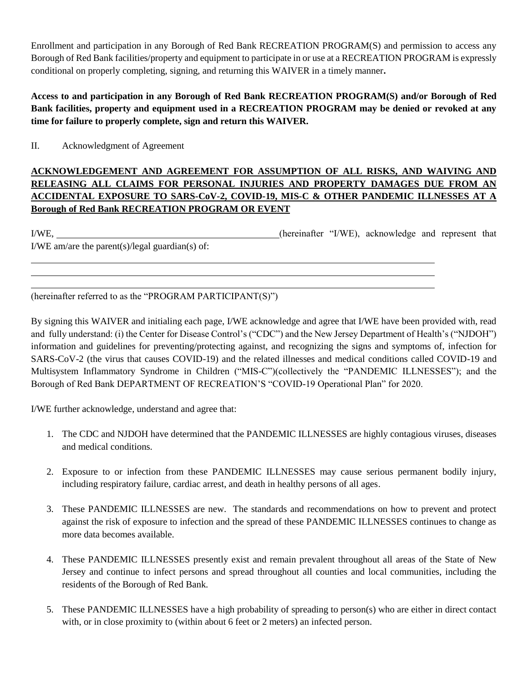Enrollment and participation in any Borough of Red Bank RECREATION PROGRAM(S) and permission to access any Borough of Red Bank facilities/property and equipment to participate in or use at a RECREATION PROGRAM is expressly conditional on properly completing, signing, and returning this WAIVER in a timely manner**.** 

**Access to and participation in any Borough of Red Bank RECREATION PROGRAM(S) and/or Borough of Red Bank facilities, property and equipment used in a RECREATION PROGRAM may be denied or revoked at any time for failure to properly complete, sign and return this WAIVER.**

II. Acknowledgment of Agreement

## **ACKNOWLEDGEMENT AND AGREEMENT FOR ASSUMPTION OF ALL RISKS, AND WAIVING AND RELEASING ALL CLAIMS FOR PERSONAL INJURIES AND PROPERTY DAMAGES DUE FROM AN ACCIDENTAL EXPOSURE TO SARS-CoV-2, COVID-19, MIS-C & OTHER PANDEMIC ILLNESSES AT A Borough of Red Bank RECREATION PROGRAM OR EVENT**

I/WE, (hereinafter "I/WE), acknowledge and represent that I/WE am/are the parent(s)/legal guardian(s) of:

(hereinafter referred to as the "PROGRAM PARTICIPANT(S)")

By signing this WAIVER and initialing each page, I/WE acknowledge and agree that I/WE have been provided with, read and fully understand: (i) the Center for Disease Control's ("CDC") and the New Jersey Department of Health's ("NJDOH") information and guidelines for preventing/protecting against, and recognizing the signs and symptoms of, infection for SARS-CoV-2 (the virus that causes COVID-19) and the related illnesses and medical conditions called COVID-19 and Multisystem Inflammatory Syndrome in Children ("MIS-C")(collectively the "PANDEMIC ILLNESSES"); and the Borough of Red Bank DEPARTMENT OF RECREATION'S "COVID-19 Operational Plan" for 2020.

I/WE further acknowledge, understand and agree that:

- 1. The CDC and NJDOH have determined that the PANDEMIC ILLNESSES are highly contagious viruses, diseases and medical conditions.
- 2. Exposure to or infection from these PANDEMIC ILLNESSES may cause serious permanent bodily injury, including respiratory failure, cardiac arrest, and death in healthy persons of all ages.
- 3. These PANDEMIC ILLNESSES are new. The standards and recommendations on how to prevent and protect against the risk of exposure to infection and the spread of these PANDEMIC ILLNESSES continues to change as more data becomes available.
- 4. These PANDEMIC ILLNESSES presently exist and remain prevalent throughout all areas of the State of New Jersey and continue to infect persons and spread throughout all counties and local communities, including the residents of the Borough of Red Bank.
- 5. These PANDEMIC ILLNESSES have a high probability of spreading to person(s) who are either in direct contact with, or in close proximity to (within about 6 feet or 2 meters) an infected person.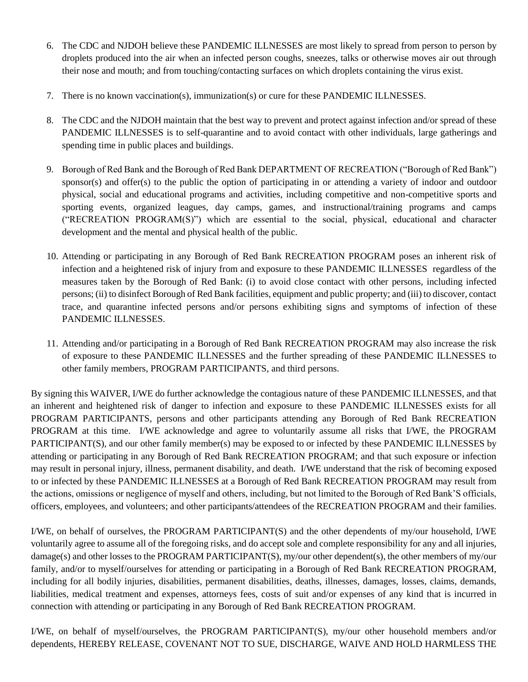- 6. The CDC and NJDOH believe these PANDEMIC ILLNESSES are most likely to spread from person to person by droplets produced into the air when an infected person coughs, sneezes, talks or otherwise moves air out through their nose and mouth; and from touching/contacting surfaces on which droplets containing the virus exist.
- 7. There is no known vaccination(s), immunization(s) or cure for these PANDEMIC ILLNESSES.
- 8. The CDC and the NJDOH maintain that the best way to prevent and protect against infection and/or spread of these PANDEMIC ILLNESSES is to self-quarantine and to avoid contact with other individuals, large gatherings and spending time in public places and buildings.
- 9. Borough of Red Bank and the Borough of Red Bank DEPARTMENT OF RECREATION ("Borough of Red Bank") sponsor(s) and offer(s) to the public the option of participating in or attending a variety of indoor and outdoor physical, social and educational programs and activities, including competitive and non-competitive sports and sporting events, organized leagues, day camps, games, and instructional/training programs and camps ("RECREATION PROGRAM(S)") which are essential to the social, physical, educational and character development and the mental and physical health of the public.
- 10. Attending or participating in any Borough of Red Bank RECREATION PROGRAM poses an inherent risk of infection and a heightened risk of injury from and exposure to these PANDEMIC ILLNESSES regardless of the measures taken by the Borough of Red Bank: (i) to avoid close contact with other persons, including infected persons; (ii) to disinfect Borough of Red Bank facilities, equipment and public property; and (iii) to discover, contact trace, and quarantine infected persons and/or persons exhibiting signs and symptoms of infection of these PANDEMIC ILLNESSES.
- 11. Attending and/or participating in a Borough of Red Bank RECREATION PROGRAM may also increase the risk of exposure to these PANDEMIC ILLNESSES and the further spreading of these PANDEMIC ILLNESSES to other family members, PROGRAM PARTICIPANTS, and third persons.

By signing this WAIVER, I/WE do further acknowledge the contagious nature of these PANDEMIC ILLNESSES, and that an inherent and heightened risk of danger to infection and exposure to these PANDEMIC ILLNESSES exists for all PROGRAM PARTICIPANTS, persons and other participants attending any Borough of Red Bank RECREATION PROGRAM at this time. I/WE acknowledge and agree to voluntarily assume all risks that I/WE, the PROGRAM PARTICIPANT(S), and our other family member(s) may be exposed to or infected by these PANDEMIC ILLNESSES by attending or participating in any Borough of Red Bank RECREATION PROGRAM; and that such exposure or infection may result in personal injury, illness, permanent disability, and death. I/WE understand that the risk of becoming exposed to or infected by these PANDEMIC ILLNESSES at a Borough of Red Bank RECREATION PROGRAM may result from the actions, omissions or negligence of myself and others, including, but not limited to the Borough of Red Bank'S officials, officers, employees, and volunteers; and other participants/attendees of the RECREATION PROGRAM and their families.

I/WE, on behalf of ourselves, the PROGRAM PARTICIPANT(S) and the other dependents of my/our household, I/WE voluntarily agree to assume all of the foregoing risks, and do accept sole and complete responsibility for any and all injuries, damage(s) and other losses to the PROGRAM PARTICIPANT(S), my/our other dependent(s), the other members of my/our family, and/or to myself/ourselves for attending or participating in a Borough of Red Bank RECREATION PROGRAM, including for all bodily injuries, disabilities, permanent disabilities, deaths, illnesses, damages, losses, claims, demands, liabilities, medical treatment and expenses, attorneys fees, costs of suit and/or expenses of any kind that is incurred in connection with attending or participating in any Borough of Red Bank RECREATION PROGRAM.

I/WE, on behalf of myself/ourselves, the PROGRAM PARTICIPANT(S), my/our other household members and/or dependents, HEREBY RELEASE, COVENANT NOT TO SUE, DISCHARGE, WAIVE AND HOLD HARMLESS THE